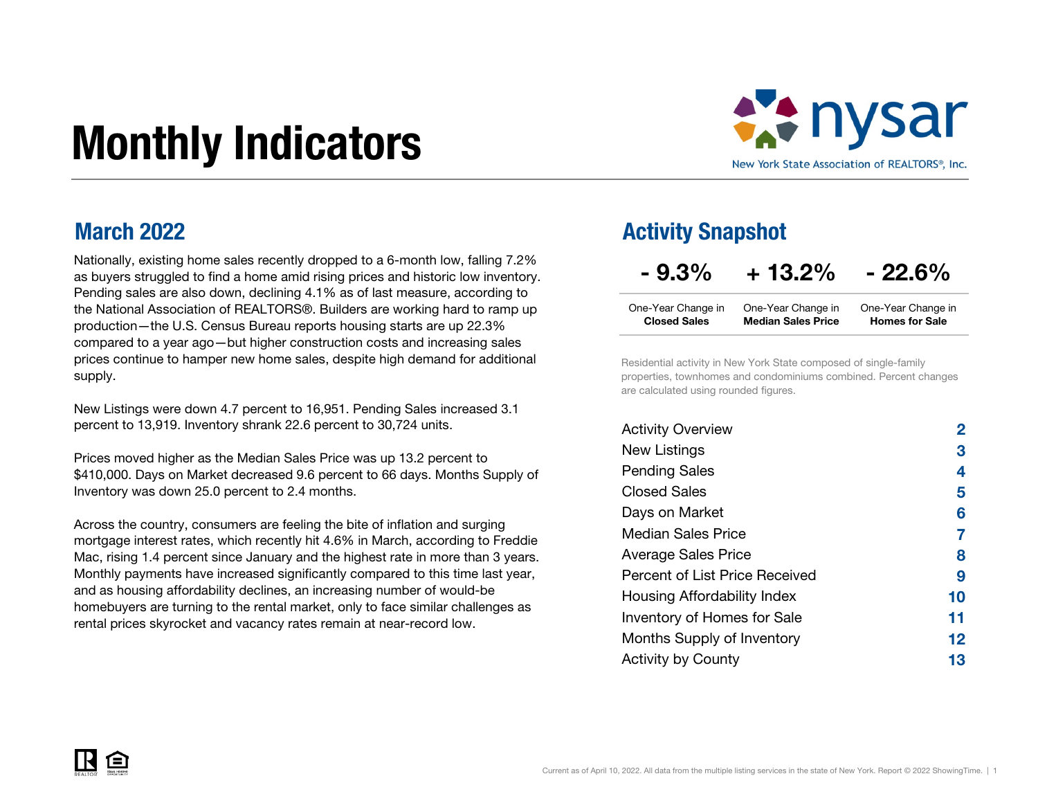# Monthly Indicators



#### March 2022

Nationally, existing home sales recently dropped to a 6-month low, falling 7.2% as buyers struggled to find a home amid rising prices and historic low inventory. Pending sales are also down, declining 4.1% as of last measure, according to the National Association of REALTORS®. Builders are working hard to ramp up production—the U.S. Census Bureau reports housing starts are up 22.3% compared to a year ago—but higher construction costs and increasing sales prices continue to hamper new home sales, despite high demand for additional supply.

New Listings were down 4.7 percent to 16,951. Pending Sales increased 3.1 percent to 13,919. Inventory shrank 22.6 percent to 30,724 units.

Prices moved higher as the Median Sales Price was up 13.2 percent to \$410,000. Days on Market decreased 9.6 percent to 66 days. Months Supply of Inventory was down 25.0 percent to 2.4 months.

Across the country, consumers are feeling the bite of inflation and surging mortgage interest rates, which recently hit 4.6% in March, according to Freddie Mac, rising 1.4 percent since January and the highest rate in more than 3 years. Monthly payments have increased significantly compared to this time last year, and as housing affordability declines, an increasing number of would-be homebuyers are turning to the rental market, only to face similar challenges as rental prices skyrocket and vacancy rates remain at near-record low.

### Activity Snapshot

 $-9.3\% + 13.2\% - 22.6\%$ 

| One-Year Change in  | One-Year Change in        | One-Year Change in    |
|---------------------|---------------------------|-----------------------|
| <b>Closed Sales</b> | <b>Median Sales Price</b> | <b>Homes for Sale</b> |

Residential activity in New York State composed of single-family properties, townhomes and condominiums combined. Percent changes are calculated using rounded figures.

| <b>Activity Overview</b>       |    |
|--------------------------------|----|
| New Listings                   | 3  |
| <b>Pending Sales</b>           | 4  |
| <b>Closed Sales</b>            | 5  |
| Days on Market                 | 6  |
| <b>Median Sales Price</b>      | 7  |
| <b>Average Sales Price</b>     | 8  |
| Percent of List Price Received | 9  |
| Housing Affordability Index    | 10 |
| Inventory of Homes for Sale    | 11 |
| Months Supply of Inventory     | 12 |
| <b>Activity by County</b>      | 13 |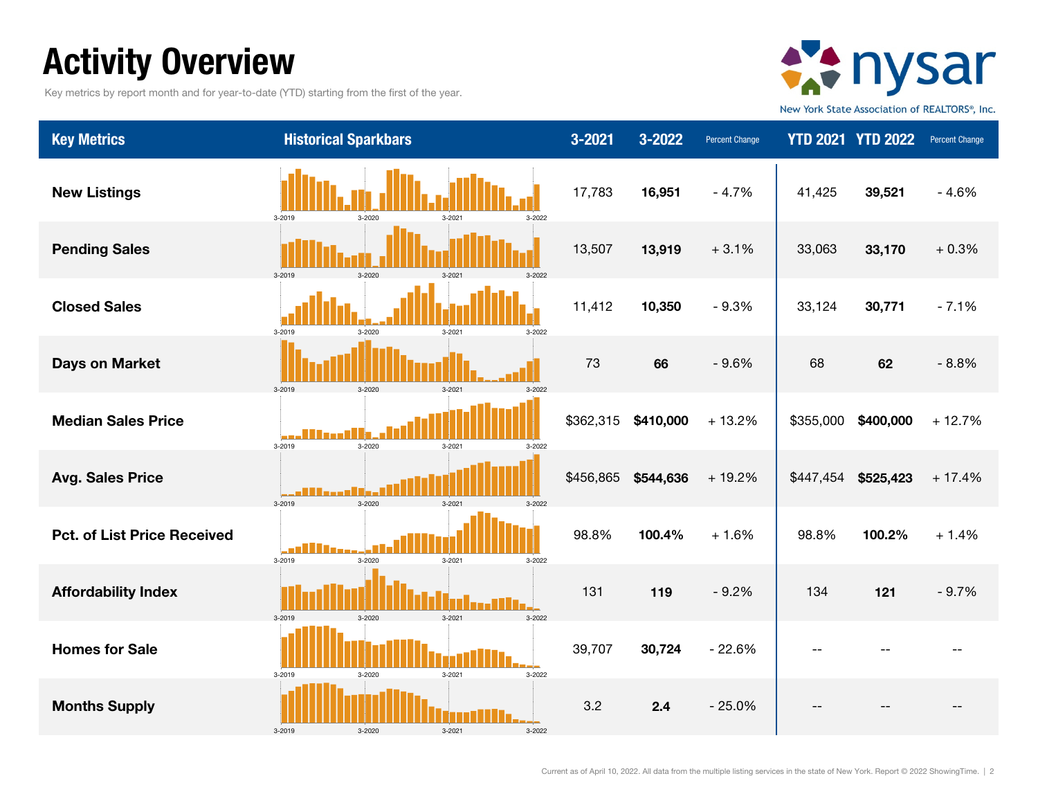# Activity Overview

Key metrics by report month and for year-to-date (YTD) starting from the first of the year.



New York State Association of REALTORS®, Inc.

| <b>Key Metrics</b>                 | <b>Historical Sparkbars</b>                  | 3-2021    | 3-2022    | Percent Change |           | <b>YTD 2021 YTD 2022</b> | Percent Change |
|------------------------------------|----------------------------------------------|-----------|-----------|----------------|-----------|--------------------------|----------------|
| <b>New Listings</b>                | 3-2022<br>3-2019<br>3-2020                   | 17,783    | 16,951    | $-4.7%$        | 41,425    | 39,521                   | $-4.6%$        |
| <b>Pending Sales</b>               | 3-2020<br>3-2019<br>3-2021<br>3-2022         | 13,507    | 13,919    | $+3.1%$        | 33,063    | 33,170                   | $+0.3%$        |
| <b>Closed Sales</b>                | 3-2019<br>3-2022<br>$2 - 2020$<br>$3 - 2021$ | 11,412    | 10,350    | $-9.3%$        | 33,124    | 30,771                   | $-7.1%$        |
| <b>Days on Market</b>              | $3 - 2021$<br>3-2019<br>3-2020<br>$3 - 2022$ | 73        | 66        | $-9.6%$        | 68        | 62                       | $-8.8%$        |
| <b>Median Sales Price</b>          | 3-2020<br>3-2019<br>3-2021<br>3-2022         | \$362,315 | \$410,000 | $+13.2%$       | \$355,000 | \$400,000                | $+12.7%$       |
| <b>Avg. Sales Price</b>            | .<br>3-2020<br>3-2022<br>3-2019<br>3-2021    | \$456,865 | \$544,636 | $+19.2%$       | \$447,454 | \$525,423                | $+17.4%$       |
| <b>Pct. of List Price Received</b> | 3-2019<br>3-2020<br>3-2021<br>3-2022         | 98.8%     | 100.4%    | $+1.6%$        | 98.8%     | 100.2%                   | $+1.4%$        |
| <b>Affordability Index</b>         | 3-2022<br>3-2019<br>3-2020<br>3-2021         | 131       | 119       | $-9.2%$        | 134       | 121                      | $-9.7%$        |
| <b>Homes for Sale</b>              | 3-2021<br>3-2022<br>3-2019<br>3-2020         | 39,707    | 30,724    | $-22.6%$       |           |                          |                |
| <b>Months Supply</b>               | 3-2019<br>3-2022                             | 3.2       | 2.4       | $-25.0%$       |           |                          |                |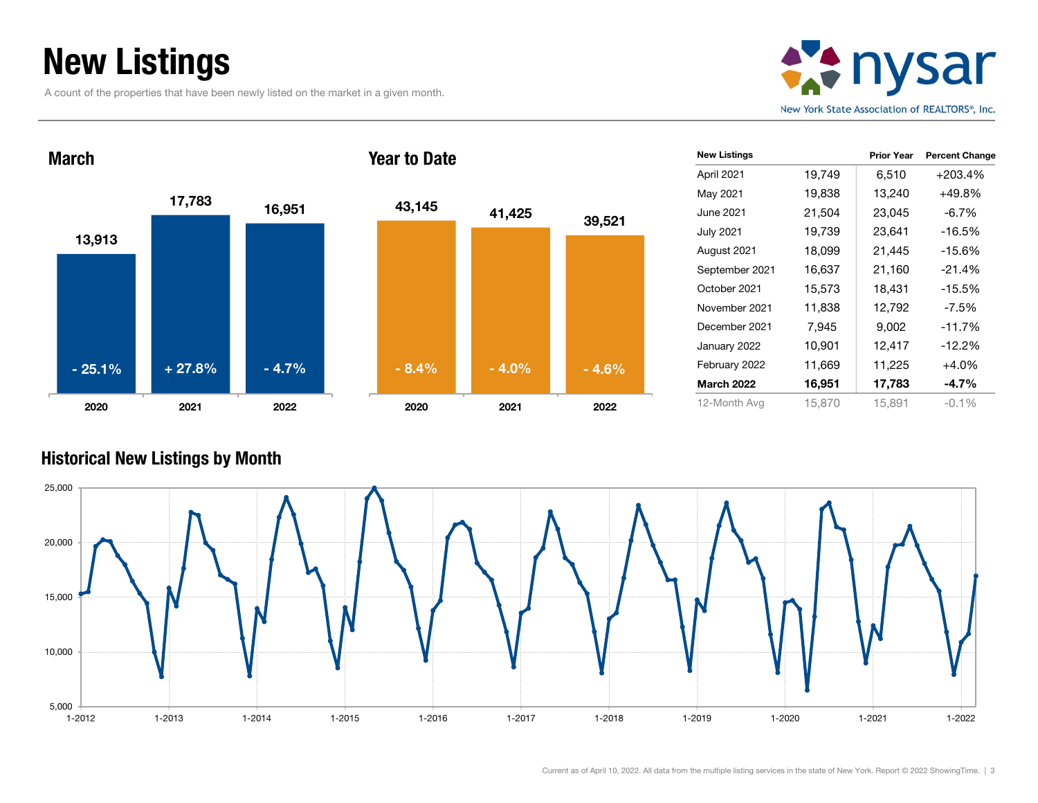# New Listings

A count of the properties that have been newly listed on the market in a given month.





| <b>New Listings</b> |        | <b>Prior Year</b> | <b>Percent Change</b> |
|---------------------|--------|-------------------|-----------------------|
| April 2021          | 19,749 | 6,510             | $+203.4%$             |
| May 2021            | 19,838 | 13,240            | +49.8%                |
| June 2021           | 21,504 | 23,045            | $-6.7%$               |
| <b>July 2021</b>    | 19,739 | 23,641            | $-16.5%$              |
| August 2021         | 18,099 | 21,445            | $-15.6%$              |
| September 2021      | 16,637 | 21,160            | $-21.4%$              |
| October 2021        | 15,573 | 18,431            | $-15.5%$              |
| November 2021       | 11,838 | 12,792            | $-7.5\%$              |
| December 2021       | 7,945  | 9,002             | $-11.7%$              |
| January 2022        | 10,901 | 12,417            | $-12.2%$              |
| February 2022       | 11,669 | 11,225            | $+4.0%$               |
| <b>March 2022</b>   | 16,951 | 17,783            | -4.7%                 |
| 12-Month Avg        | 15.870 | 15,891            | $-0.1%$               |

#### Historical New Listings by Month

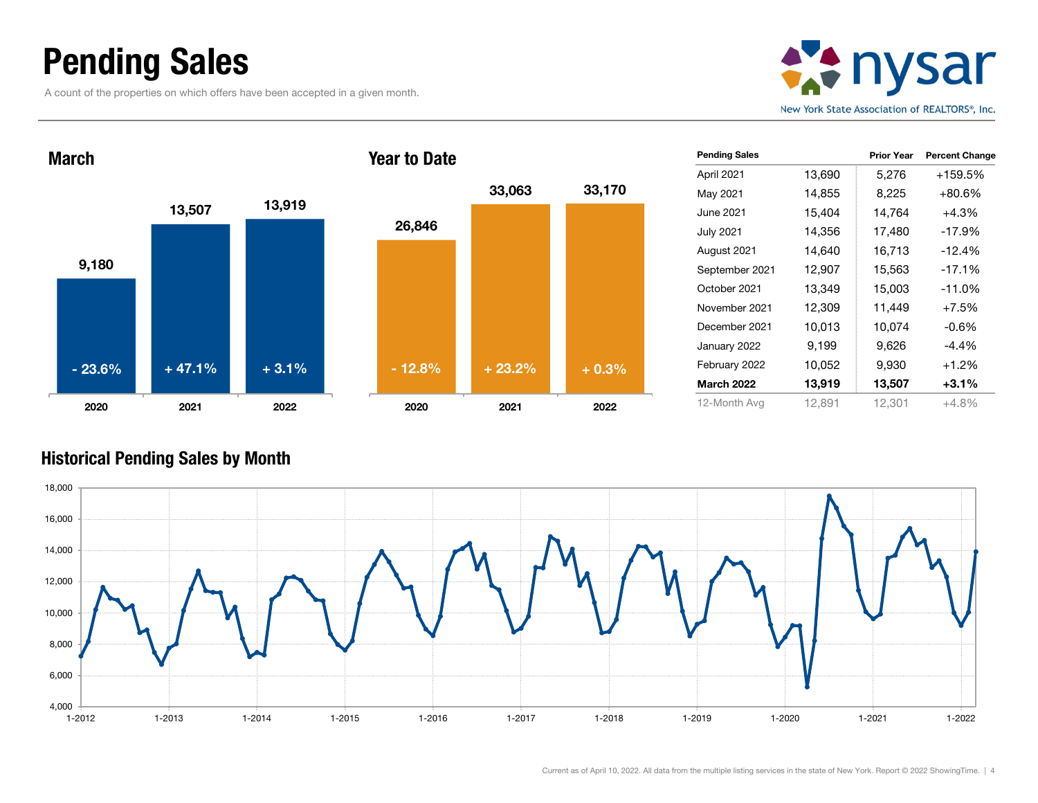### Pending Sales

A count of the properties on which offers have been accepted in a given month.





| <b>Pending Sales</b> |        | <b>Prior Year</b> | <b>Percent Change</b> |
|----------------------|--------|-------------------|-----------------------|
| April 2021           | 13,690 | 5,276             | +159.5%               |
| May 2021             | 14,855 | 8,225             | +80.6%                |
| June 2021            | 15,404 | 14,764            | $+4.3%$               |
| <b>July 2021</b>     | 14,356 | 17,480            | $-17.9%$              |
| August 2021          | 14,640 | 16,713            | -12.4%                |
| September 2021       | 12,907 | 15,563            | $-17.1%$              |
| October 2021         | 13,349 | 15,003            | $-11.0%$              |
| November 2021        | 12,309 | 11,449            | $+7.5%$               |
| December 2021        | 10,013 | 10,074            | $-0.6%$               |
| January 2022         | 9,199  | 9,626             | $-4.4%$               |
| February 2022        | 10,052 | 9,930             | $+1.2%$               |
| <b>March 2022</b>    | 13,919 | 13,507            | $+3.1%$               |
| 12-Month Avg         | 12,891 | 12,301            | $+4.8%$               |

#### Historical Pending Sales by Month

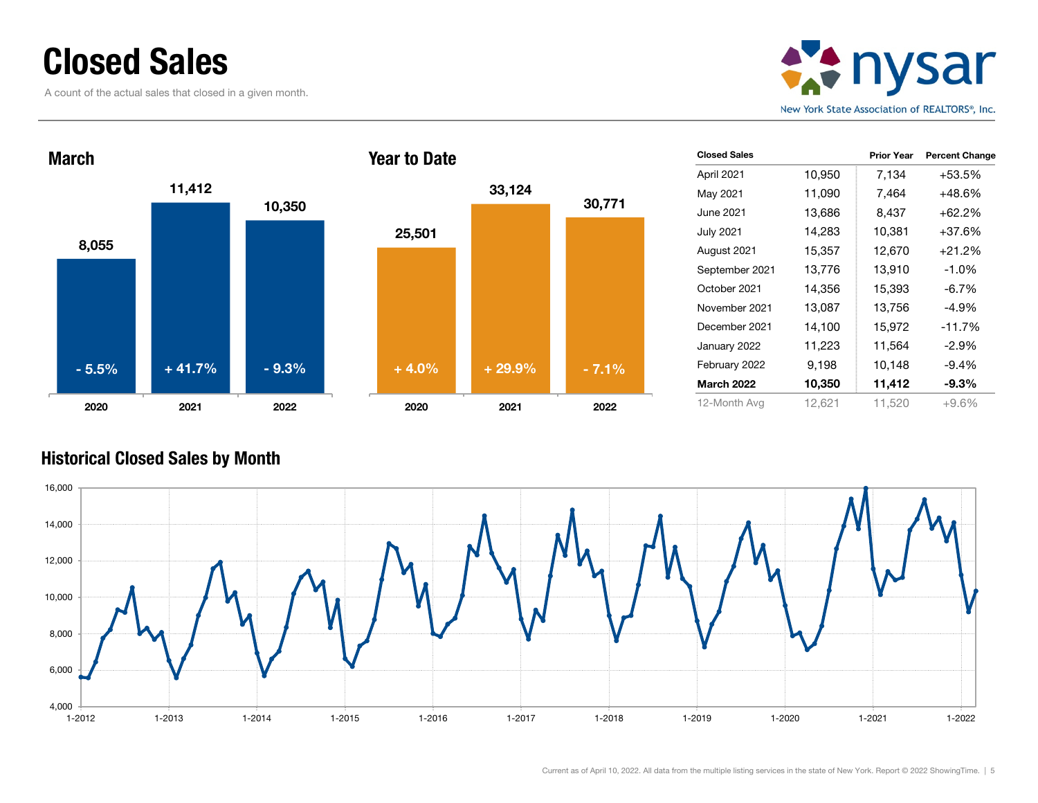### Closed Sales

A count of the actual sales that closed in a given month.





| <b>Closed Sales</b> |        | <b>Prior Year</b> | <b>Percent Change</b> |
|---------------------|--------|-------------------|-----------------------|
| April 2021          | 10,950 | 7,134             | +53.5%                |
| May 2021            | 11,090 | 7,464             | +48.6%                |
| June 2021           | 13,686 | 8,437             | +62.2%                |
| <b>July 2021</b>    | 14,283 | 10,381            | +37.6%                |
| August 2021         | 15,357 | 12,670            | +21.2%                |
| September 2021      | 13,776 | 13,910            | $-1.0%$               |
| October 2021        | 14,356 | 15,393            | $-6.7%$               |
| November 2021       | 13,087 | 13,756            | $-4.9%$               |
| December 2021       | 14,100 | 15,972            | $-11.7%$              |
| January 2022        | 11,223 | 11,564            | $-2.9%$               |
| February 2022       | 9,198  | 10,148            | $-9.4%$               |
| <b>March 2022</b>   | 10,350 | 11,412            | $-9.3%$               |
| 12-Month Avg        | 12,621 | 11,520            | $+9.6%$               |

#### Historical Closed Sales by Month

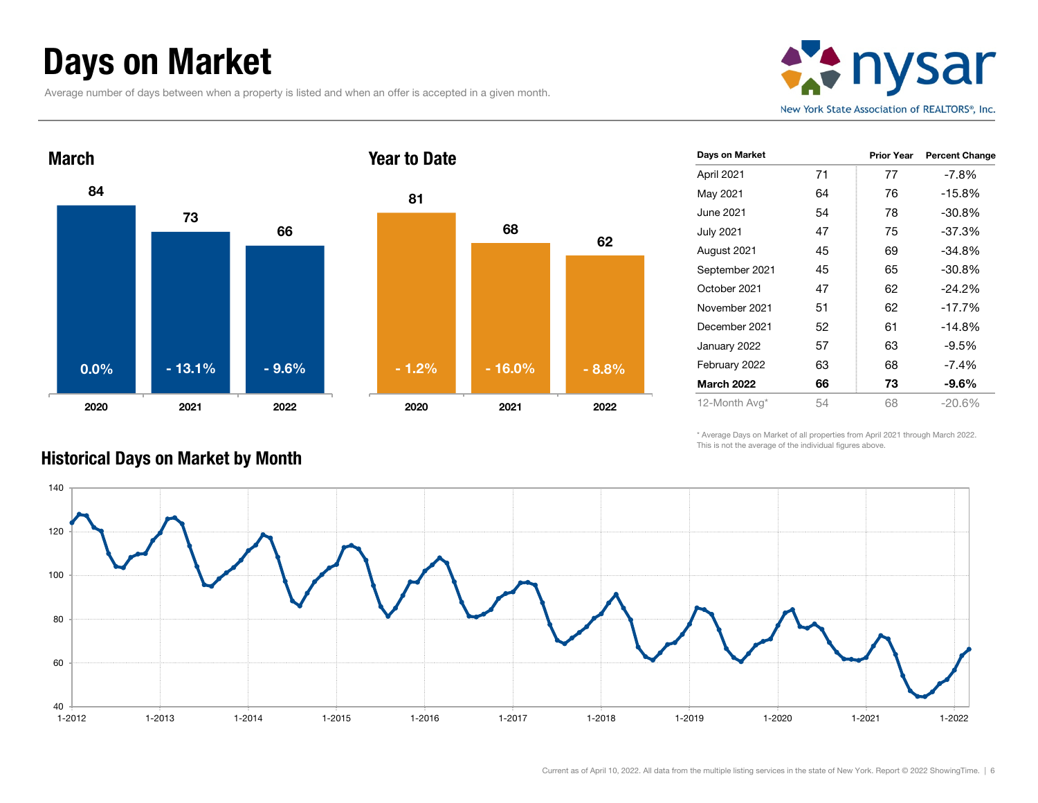## Days on Market

Average number of days between when a property is listed and when an offer is accepted in a given month.







| Days on Market    |    | <b>Prior Year</b> | <b>Percent Change</b> |
|-------------------|----|-------------------|-----------------------|
| April 2021        | 71 | 77                | $-7.8\%$              |
| May 2021          | 64 | 76                | $-15.8%$              |
| June 2021         | 54 | 78                | $-30.8%$              |
| <b>July 2021</b>  | 47 | 75                | $-37.3%$              |
| August 2021       | 45 | 69                | $-34.8%$              |
| September 2021    | 45 | 65                | $-30.8%$              |
| October 2021      | 47 | 62                | $-24.2%$              |
| November 2021     | 51 | 62                | $-17.7%$              |
| December 2021     | 52 | 61                | $-14.8%$              |
| January 2022      | 57 | 63                | $-9.5%$               |
| February 2022     | 63 | 68                | $-7.4%$               |
| <b>March 2022</b> | 66 | 73                | -9.6%                 |
| 12-Month Avg*     | 54 | 68                | $-20.6%$              |

\* Average Days on Market of all properties from April 2021 through March 2022. This is not the average of the individual figures above.



#### Historical Days on Market by Month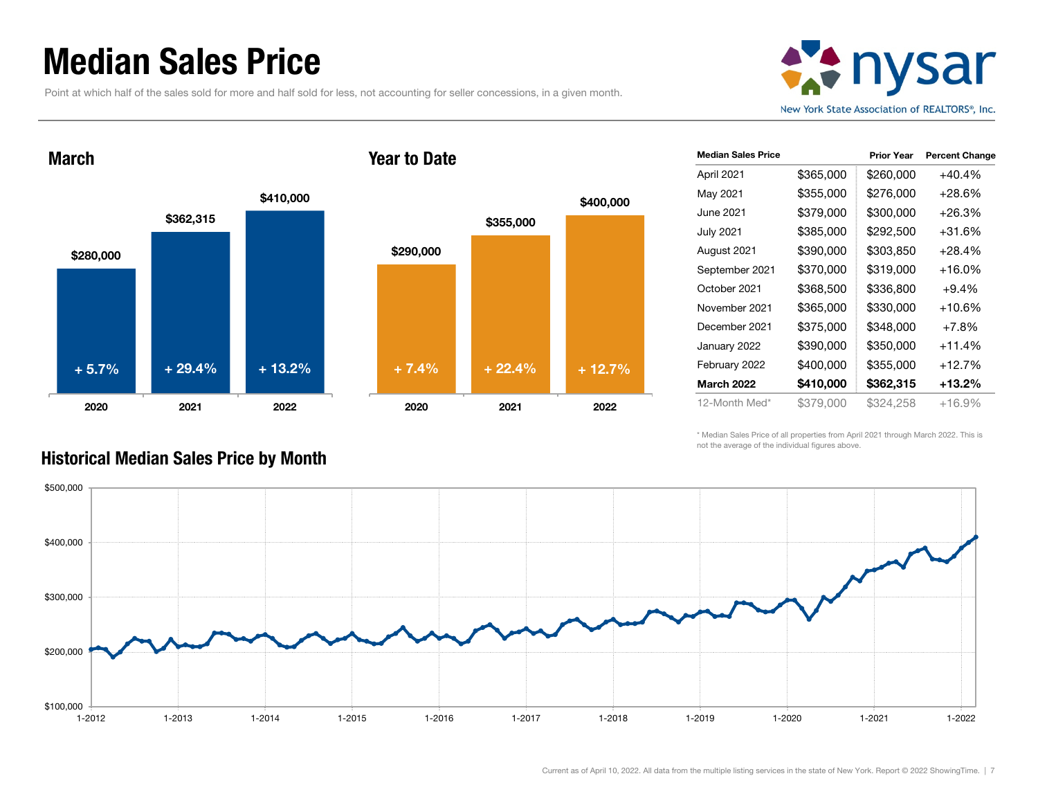### Median Sales Price

March

Point at which half of the sales sold for more and half sold for less, not accounting for seller concessions, in a given month.



\$280,000 \$362,315 \$410,000 2020 2021 2022 + 5.7%





| <b>Median Sales Price</b> |           | <b>Prior Year</b> | <b>Percent Change</b> |
|---------------------------|-----------|-------------------|-----------------------|
| April 2021                | \$365,000 | \$260,000         | $+40.4%$              |
| May 2021                  | \$355,000 | \$276,000         | $+28.6%$              |
| June 2021                 | \$379,000 | \$300,000         | +26.3%                |
| July 2021                 | \$385,000 | \$292,500         | +31.6%                |
| August 2021               | \$390,000 | \$303,850         | +28.4%                |
| September 2021            | \$370,000 | \$319,000         | +16.0%                |
| October 2021              | \$368,500 | \$336,800         | $+9.4%$               |
| November 2021             | \$365,000 | \$330,000         | +10.6%                |
| December 2021             | \$375,000 | \$348,000         | $+7.8%$               |
| January 2022              | \$390,000 | \$350,000         | $+11.4%$              |
| February 2022             | \$400,000 | \$355,000         | $+12.7%$              |
| <b>March 2022</b>         | \$410,000 | \$362,315         | +13.2%                |
| 12-Month Med*             | \$379,000 | \$324,258         | +16.9%                |

\* Median Sales Price of all properties from April 2021 through March 2022. This is not the average of the individual figures above.



#### Historical Median Sales Price by Month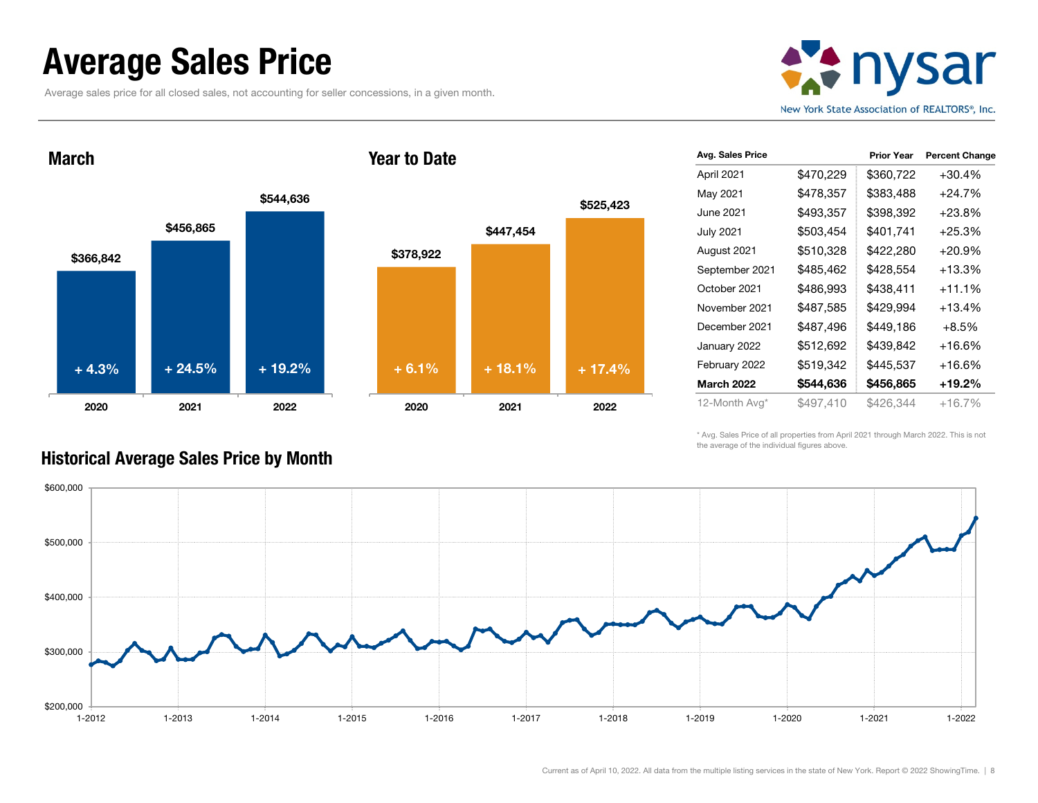### Average Sales Price

Average sales price for all closed sales, not accounting for seller concessions, in a given month.



March





| Avg. Sales Price  |           | <b>Prior Year</b> | <b>Percent Change</b> |
|-------------------|-----------|-------------------|-----------------------|
| April 2021        | \$470,229 | \$360,722         | $+30.4%$              |
| May 2021          | \$478,357 | \$383,488         | $+24.7%$              |
| June 2021         | \$493,357 | \$398,392         | $+23.8%$              |
| <b>July 2021</b>  | \$503,454 | \$401,741         | $+25.3%$              |
| August 2021       | \$510,328 | \$422,280         | $+20.9%$              |
| September 2021    | \$485,462 | \$428,554         | $+13.3%$              |
| October 2021      | \$486,993 | \$438,411         | $+11.1%$              |
| November 2021     | \$487,585 | \$429,994         | $+13.4%$              |
| December 2021     | \$487,496 | \$449,186         | $+8.5%$               |
| January 2022      | \$512,692 | \$439,842         | +16.6%                |
| February 2022     | \$519,342 | \$445,537         | +16.6%                |
| <b>March 2022</b> | \$544,636 | \$456,865         | +19.2%                |
| 12-Month Avg*     | \$497,410 | \$426,344         | $+16.7%$              |

\* Avg. Sales Price of all properties from April 2021 through March 2022. This is not the average of the individual figures above.



### Historical Average Sales Price by Month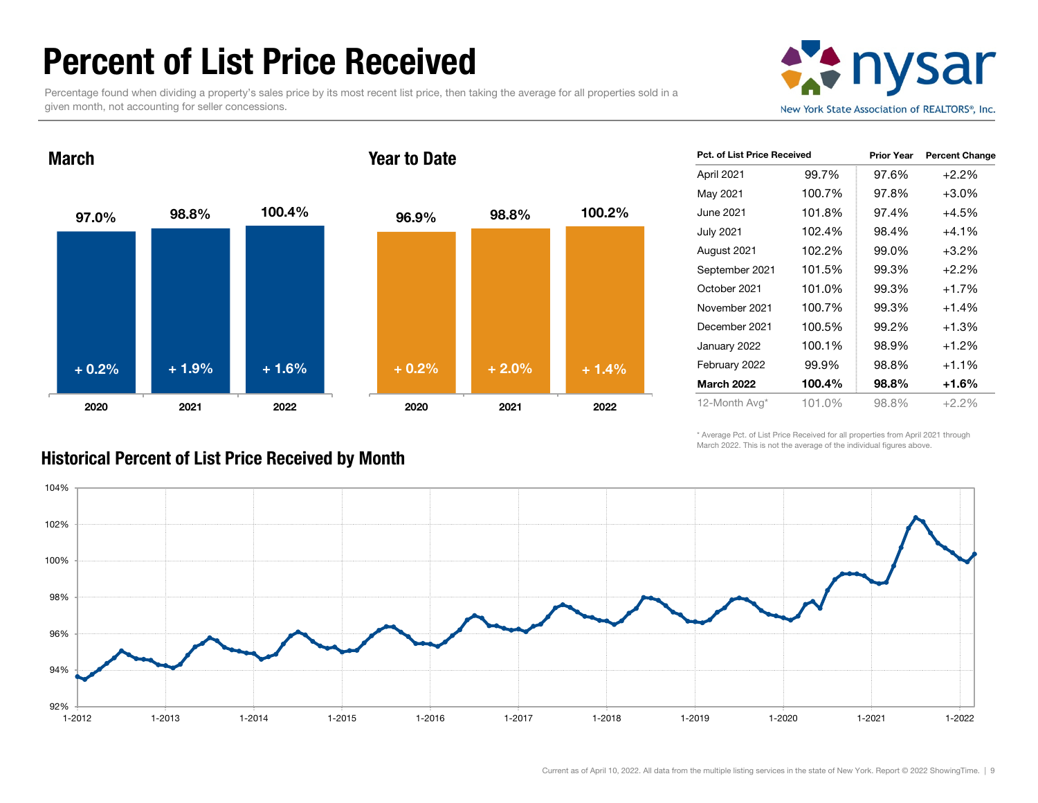### Percent of List Price Received

Percentage found when dividing a property's sales price by its most recent list price, then taking the average for all properties sold in a given month, not accounting for seller concessions.





| <b>Pct. of List Price Received</b> |        | <b>Prior Year</b> | <b>Percent Change</b> |
|------------------------------------|--------|-------------------|-----------------------|
| April 2021                         | 99.7%  | 97.6%             | $+2.2%$               |
| May 2021                           | 100.7% | 97.8%             | $+3.0\%$              |
| June 2021                          | 101.8% | 97.4%             | $+4.5%$               |
| July 2021                          | 102.4% | 98.4%             | $+4.1%$               |
| August 2021                        | 102.2% | 99.0%             | $+3.2%$               |
| September 2021                     | 101.5% | 99.3%             | $+2.2%$               |
| October 2021                       | 101.0% | 99.3%             | $+1.7%$               |
| November 2021                      | 100.7% | 99.3%             | $+1.4%$               |
| December 2021                      | 100.5% | 99.2%             | $+1.3%$               |
| January 2022                       | 100.1% | 98.9%             | $+1.2%$               |
| February 2022                      | 99.9%  | 98.8%             | $+1.1%$               |
| <b>March 2022</b>                  | 100.4% | 98.8%             | +1.6%                 |
| 12-Month Avg*                      | 101.0% | 98.8%             | $+2.2\%$              |

\* Average Pct. of List Price Received for all properties from April 2021 through March 2022. This is not the average of the individual figures above.



#### Historical Percent of List Price Received by Month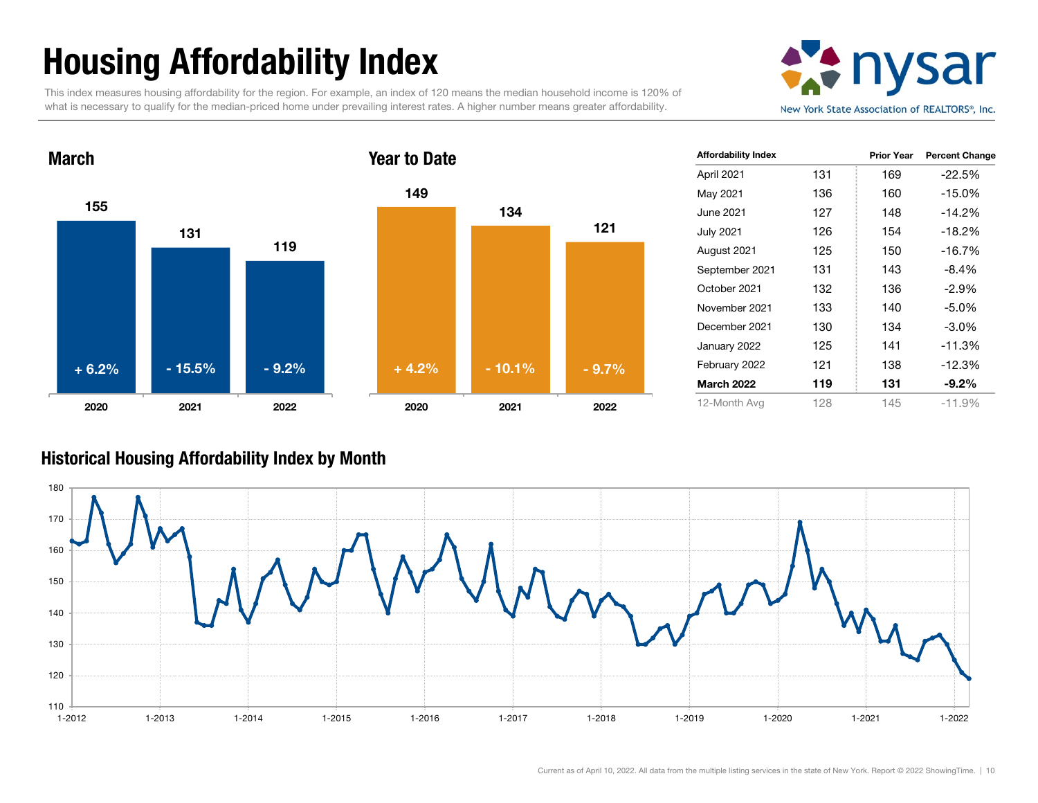# Housing Affordability Index

This index measures housing affordability for the region. For example, an index of 120 means the median household income is 120% of what is necessary to qualify for the median-priced home under prevailing interest rates. A higher number means greater affordability.





| <b>Affordability Index</b> |     | <b>Prior Year</b> | <b>Percent Change</b> |
|----------------------------|-----|-------------------|-----------------------|
| April 2021                 | 131 | 169               | $-22.5%$              |
| May 2021                   | 136 | 160               | $-15.0%$              |
| June 2021                  | 127 | 148               | $-14.2%$              |
| July 2021                  | 126 | 154               | $-18.2%$              |
| August 2021                | 125 | 150               | $-16.7%$              |
| September 2021             | 131 | 143               | $-8.4%$               |
| October 2021               | 132 | 136               | $-2.9%$               |
| November 2021              | 133 | 140               | $-5.0%$               |
| December 2021              | 130 | 134               | $-3.0\%$              |
| January 2022               | 125 | 141               | $-11.3%$              |
| February 2022              | 121 | 138               | $-12.3%$              |
| <b>March 2022</b>          | 119 | 131               | $-9.2\%$              |
| 12-Month Avg               | 128 | 145               | $-11.9%$              |

#### Historical Housing Affordability Index by Mont h

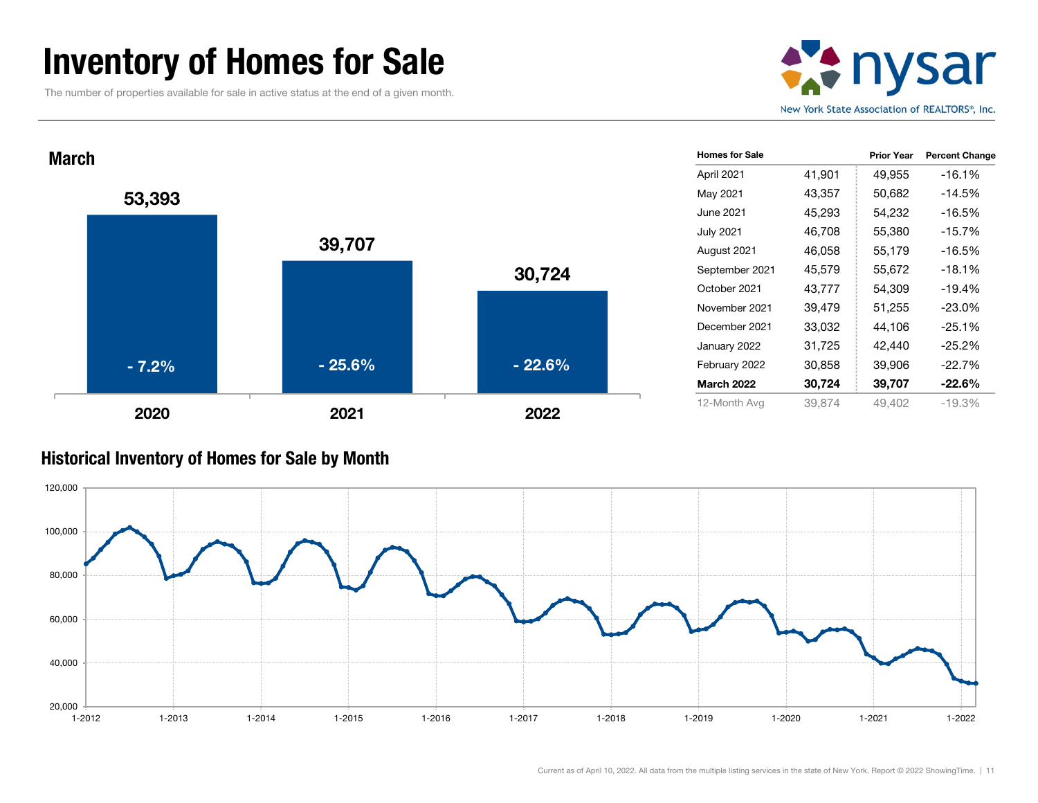### Inventory of Homes for Sale

The number of properties available for sale in active status at the end of a given month.





#### Historical Inventory of Homes for Sale by Month

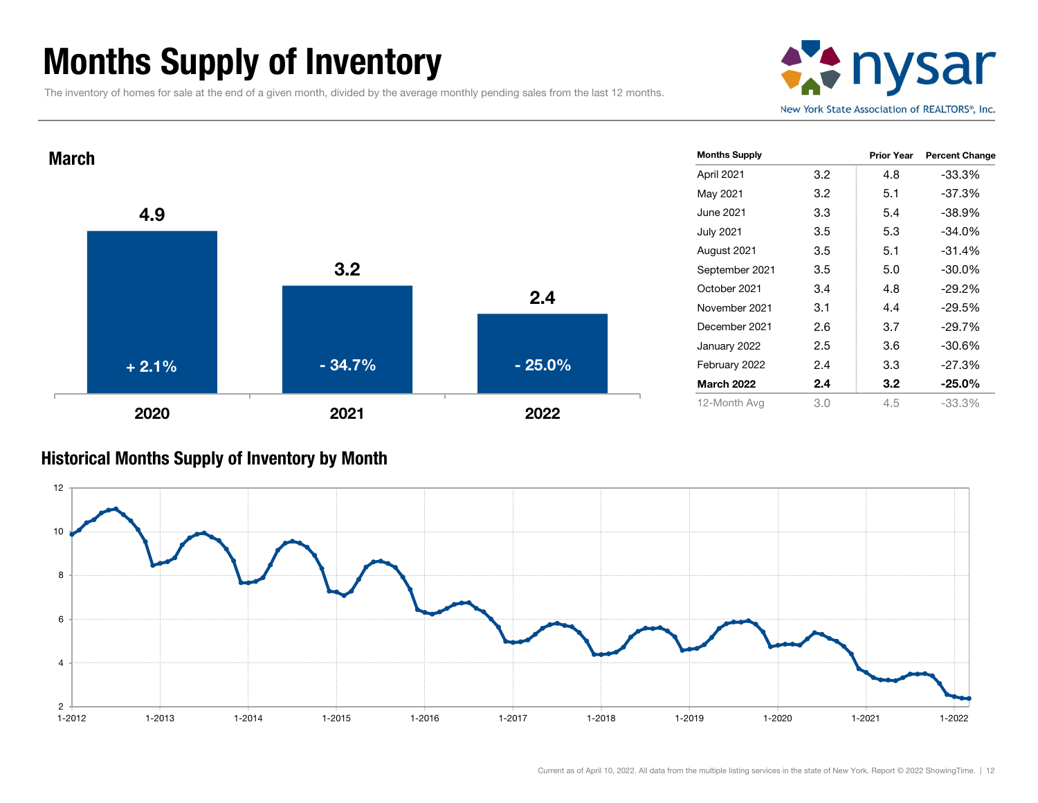## Months Supply of Inventory

The inventory of homes for sale at the end of a given month, divided by the average monthly pending sales from the last 12 months.





#### Historical Months Supply of Inventory by Month

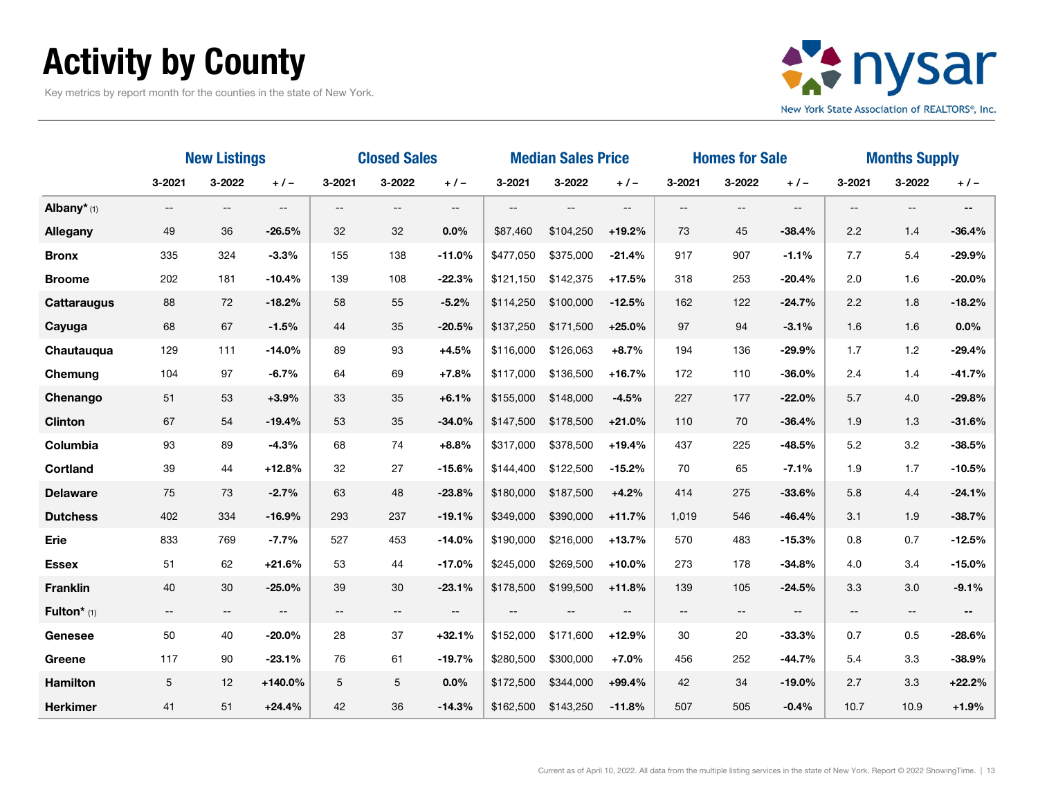# Activity by County

Key metrics by report month for the counties in the state of New York.



|                           | <b>New Listings</b>      |                          |                          | <b>Closed Sales</b>      |                          |                          | <b>Median Sales Price</b> |           | <b>Homes for Sale</b> |        |        | <b>Months Supply</b>     |            |                          |                          |
|---------------------------|--------------------------|--------------------------|--------------------------|--------------------------|--------------------------|--------------------------|---------------------------|-----------|-----------------------|--------|--------|--------------------------|------------|--------------------------|--------------------------|
|                           | $3 - 2021$               | 3-2022                   | $+$ / $-$                | 3-2021                   | 3-2022                   | $+/-$                    | 3-2021                    | 3-2022    | $+ 1 -$               | 3-2021 | 3-2022 | $+1-$                    | $3 - 2021$ | 3-2022                   | $+/-$                    |
| Albany $*$ <sub>(1)</sub> | $\hspace{0.05cm} \ldots$ | $\qquad \qquad -$        | $-$                      | $\overline{\phantom{a}}$ | $\qquad \qquad -$        | $\qquad \qquad -$        | $\overline{\phantom{a}}$  | $--$      | $\qquad \qquad -$     | $\sim$ | $-$    | $\overline{\phantom{a}}$ | $- -$      | $-$                      | $\overline{\phantom{a}}$ |
| Allegany                  | 49                       | 36                       | $-26.5%$                 | 32                       | 32                       | 0.0%                     | \$87,460                  | \$104,250 | $+19.2%$              | 73     | 45     | $-38.4%$                 | 2.2        | 1.4                      | $-36.4%$                 |
| <b>Bronx</b>              | 335                      | 324                      | $-3.3%$                  | 155                      | 138                      | $-11.0%$                 | \$477,050                 | \$375,000 | $-21.4%$              | 917    | 907    | $-1.1%$                  | 7.7        | 5.4                      | $-29.9%$                 |
| <b>Broome</b>             | 202                      | 181                      | $-10.4%$                 | 139                      | 108                      | $-22.3%$                 | \$121,150                 | \$142,375 | $+17.5%$              | 318    | 253    | $-20.4%$                 | 2.0        | 1.6                      | $-20.0%$                 |
| <b>Cattaraugus</b>        | 88                       | 72                       | $-18.2%$                 | 58                       | 55                       | $-5.2%$                  | \$114,250                 | \$100,000 | $-12.5%$              | 162    | 122    | $-24.7%$                 | 2.2        | 1.8                      | $-18.2%$                 |
| Cayuga                    | 68                       | 67                       | $-1.5%$                  | 44                       | 35                       | $-20.5%$                 | \$137,250                 | \$171,500 | $+25.0%$              | 97     | 94     | $-3.1%$                  | 1.6        | 1.6                      | 0.0%                     |
| Chautauqua                | 129                      | 111                      | $-14.0%$                 | 89                       | 93                       | $+4.5%$                  | \$116,000                 | \$126,063 | $+8.7%$               | 194    | 136    | $-29.9%$                 | 1.7        | 1.2                      | $-29.4%$                 |
| Chemung                   | 104                      | 97                       | $-6.7%$                  | 64                       | 69                       | $+7.8%$                  | \$117,000                 | \$136,500 | $+16.7%$              | 172    | 110    | $-36.0%$                 | 2.4        | 1.4                      | $-41.7%$                 |
| Chenango                  | 51                       | 53                       | $+3.9%$                  | 33                       | 35                       | $+6.1%$                  | \$155,000                 | \$148,000 | $-4.5%$               | 227    | 177    | $-22.0%$                 | 5.7        | 4.0                      | $-29.8%$                 |
| <b>Clinton</b>            | 67                       | 54                       | $-19.4%$                 | 53                       | 35                       | $-34.0%$                 | \$147,500                 | \$178,500 | $+21.0%$              | 110    | 70     | $-36.4%$                 | 1.9        | 1.3                      | $-31.6%$                 |
| Columbia                  | 93                       | 89                       | $-4.3%$                  | 68                       | 74                       | $+8.8%$                  | \$317,000                 | \$378,500 | $+19.4%$              | 437    | 225    | $-48.5%$                 | 5.2        | 3.2                      | $-38.5%$                 |
| <b>Cortland</b>           | 39                       | 44                       | $+12.8%$                 | 32                       | 27                       | $-15.6%$                 | \$144,400                 | \$122,500 | $-15.2%$              | 70     | 65     | $-7.1%$                  | 1.9        | 1.7                      | $-10.5%$                 |
| <b>Delaware</b>           | 75                       | 73                       | $-2.7%$                  | 63                       | 48                       | $-23.8%$                 | \$180,000                 | \$187,500 | $+4.2%$               | 414    | 275    | $-33.6%$                 | 5.8        | 4.4                      | $-24.1%$                 |
| <b>Dutchess</b>           | 402                      | 334                      | $-16.9%$                 | 293                      | 237                      | $-19.1%$                 | \$349,000                 | \$390,000 | $+11.7%$              | 1,019  | 546    | $-46.4%$                 | 3.1        | 1.9                      | $-38.7%$                 |
| Erie                      | 833                      | 769                      | $-7.7%$                  | 527                      | 453                      | $-14.0%$                 | \$190,000                 | \$216,000 | $+13.7%$              | 570    | 483    | $-15.3%$                 | 0.8        | 0.7                      | $-12.5%$                 |
| <b>Essex</b>              | 51                       | 62                       | $+21.6%$                 | 53                       | 44                       | $-17.0%$                 | \$245,000                 | \$269,500 | $+10.0%$              | 273    | 178    | $-34.8%$                 | 4.0        | 3.4                      | $-15.0%$                 |
| <b>Franklin</b>           | $40\,$                   | 30                       | $-25.0%$                 | 39                       | $30\,$                   | $-23.1%$                 | \$178,500                 | \$199,500 | $+11.8%$              | 139    | 105    | $-24.5%$                 | 3.3        | 3.0                      | $-9.1%$                  |
| Fulton* (1)               | $\overline{\phantom{m}}$ | $\overline{\phantom{m}}$ | $\overline{\phantom{m}}$ | $\overline{\phantom{m}}$ | $\overline{\phantom{a}}$ | $\overline{\phantom{m}}$ |                           |           |                       | $- -$  | $- -$  | --                       | $- -$      | $\overline{\phantom{m}}$ |                          |
| Genesee                   | 50                       | 40                       | $-20.0%$                 | 28                       | 37                       | $+32.1%$                 | \$152,000                 | \$171,600 | $+12.9%$              | 30     | 20     | $-33.3%$                 | 0.7        | 0.5                      | $-28.6%$                 |
| Greene                    | 117                      | 90                       | $-23.1%$                 | 76                       | 61                       | $-19.7%$                 | \$280,500                 | \$300,000 | $+7.0%$               | 456    | 252    | $-44.7%$                 | 5.4        | 3.3                      | $-38.9%$                 |
| <b>Hamilton</b>           | 5                        | 12                       | $+140.0%$                | 5                        | 5                        | 0.0%                     | \$172,500                 | \$344,000 | $+99.4%$              | 42     | 34     | $-19.0%$                 | 2.7        | 3.3                      | $+22.2%$                 |
| <b>Herkimer</b>           | 41                       | 51                       | $+24.4%$                 | 42                       | 36                       | $-14.3%$                 | \$162,500                 | \$143,250 | $-11.8%$              | 507    | 505    | $-0.4%$                  | 10.7       | 10.9                     | $+1.9%$                  |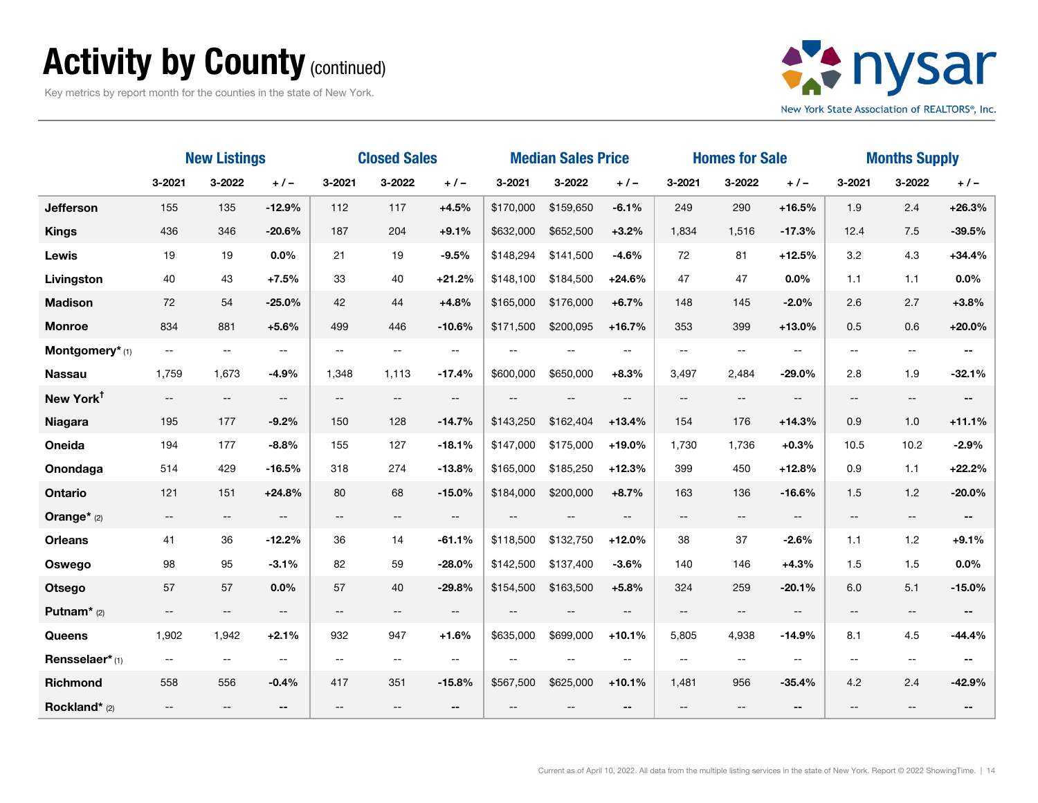### Activity by County (continued)

Key metrics by report month for the counties in the state of New York.



|                         | <b>New Listings</b>                           |                                               |                          | <b>Closed Sales</b>      |                          |                          | <b>Median Sales Price</b> |                          |                          | <b>Homes for Sale</b>    |                          |                          | <b>Months Supply</b>     |                                               |                          |
|-------------------------|-----------------------------------------------|-----------------------------------------------|--------------------------|--------------------------|--------------------------|--------------------------|---------------------------|--------------------------|--------------------------|--------------------------|--------------------------|--------------------------|--------------------------|-----------------------------------------------|--------------------------|
|                         | 3-2021                                        | 3-2022                                        | $+ 1 -$                  | 3-2021                   | 3-2022                   | $+ 1 -$                  | 3-2021                    | 3-2022                   | $+/-$                    | 3-2021                   | 3-2022                   | $+/-$                    | 3-2021                   | 3-2022                                        | $+/-$                    |
| Jefferson               | 155                                           | 135                                           | $-12.9%$                 | 112                      | 117                      | $+4.5%$                  | \$170,000                 | \$159,650                | $-6.1%$                  | 249                      | 290                      | $+16.5%$                 | 1.9                      | 2.4                                           | $+26.3%$                 |
| <b>Kings</b>            | 436                                           | 346                                           | $-20.6%$                 | 187                      | 204                      | $+9.1%$                  | \$632,000                 | \$652,500                | $+3.2%$                  | 1,834                    | 1,516                    | $-17.3%$                 | 12.4                     | 7.5                                           | $-39.5%$                 |
| Lewis                   | 19                                            | 19                                            | 0.0%                     | 21                       | 19                       | $-9.5%$                  | \$148,294                 | \$141,500                | $-4.6%$                  | 72                       | 81                       | $+12.5%$                 | 3.2                      | 4.3                                           | $+34.4%$                 |
| Livingston              | 40                                            | 43                                            | $+7.5%$                  | 33                       | 40                       | $+21.2%$                 | \$148.100                 | \$184,500                | $+24.6%$                 | 47                       | 47                       | 0.0%                     | 1.1                      | 1.1                                           | $0.0\%$                  |
| <b>Madison</b>          | 72                                            | 54                                            | $-25.0%$                 | 42                       | 44                       | $+4.8%$                  | \$165,000                 | \$176,000                | $+6.7%$                  | 148                      | 145                      | $-2.0%$                  | 2.6                      | 2.7                                           | $+3.8%$                  |
| <b>Monroe</b>           | 834                                           | 881                                           | $+5.6%$                  | 499                      | 446                      | $-10.6%$                 | \$171,500                 | \$200,095                | $+16.7%$                 | 353                      | 399                      | $+13.0%$                 | 0.5                      | 0.6                                           | $+20.0%$                 |
| Montgomery* (1)         | $\mathord{\hspace{1pt}\text{--}\hspace{1pt}}$ | $\overline{\phantom{m}}$                      | --                       | --                       | $-$                      | $- -$                    | $\overline{\phantom{m}}$  | $\overline{\phantom{m}}$ | --                       | $-$                      | --                       | $-$                      | --                       | $- -$                                         | --                       |
| <b>Nassau</b>           | 1,759                                         | 1,673                                         | $-4.9%$                  | 1,348                    | 1,113                    | $-17.4%$                 | \$600,000                 | \$650,000                | $+8.3%$                  | 3,497                    | 2,484                    | $-29.0%$                 | 2.8                      | 1.9                                           | $-32.1%$                 |
| New York <sup>t</sup>   | $- -$                                         | $\mathord{\hspace{1pt}\text{--}\hspace{1pt}}$ | $\overline{\phantom{a}}$ | $\qquad \qquad -$        | $\overline{\phantom{a}}$ | $\overline{\phantom{a}}$ |                           | $\overline{\phantom{m}}$ | $- -$                    | $\overline{\phantom{m}}$ | --                       | $\overline{\phantom{a}}$ | $\overline{\phantom{a}}$ | $- -$                                         | $\overline{\phantom{a}}$ |
| <b>Niagara</b>          | 195                                           | 177                                           | $-9.2%$                  | 150                      | 128                      | $-14.7%$                 | \$143,250                 | \$162,404                | $+13.4%$                 | 154                      | 176                      | $+14.3%$                 | 0.9                      | 1.0                                           | $+11.1%$                 |
| Oneida                  | 194                                           | 177                                           | $-8.8%$                  | 155                      | 127                      | $-18.1%$                 | \$147,000                 | \$175,000                | $+19.0%$                 | 1,730                    | 1,736                    | $+0.3%$                  | 10.5                     | 10.2                                          | $-2.9%$                  |
| Onondaga                | 514                                           | 429                                           | $-16.5%$                 | 318                      | 274                      | $-13.8%$                 | \$165,000                 | \$185,250                | $+12.3%$                 | 399                      | 450                      | $+12.8%$                 | 0.9                      | 1.1                                           | $+22.2%$                 |
| Ontario                 | 121                                           | 151                                           | $+24.8%$                 | 80                       | 68                       | $-15.0%$                 | \$184,000                 | \$200,000                | $+8.7%$                  | 163                      | 136                      | $-16.6%$                 | 1.5                      | 1.2                                           | $-20.0%$                 |
| Orange* (2)             | $- -$                                         | $\overline{\phantom{a}}$                      | $\overline{\phantom{a}}$ | $\overline{\phantom{a}}$ | $- -$                    | $-$                      | $\overline{\phantom{a}}$  | $\overline{\phantom{a}}$ | $\overline{\phantom{a}}$ | $\overline{\phantom{m}}$ | $\overline{\phantom{a}}$ | $\overline{\phantom{m}}$ | $\overline{\phantom{a}}$ | $\mathord{\hspace{1pt}\text{--}\hspace{1pt}}$ | $\overline{\phantom{a}}$ |
| <b>Orleans</b>          | 41                                            | 36                                            | $-12.2%$                 | 36                       | 14                       | $-61.1%$                 | \$118,500                 | \$132,750                | $+12.0%$                 | 38                       | 37                       | $-2.6%$                  | 1.1                      | 1.2                                           | $+9.1%$                  |
| Oswego                  | 98                                            | 95                                            | $-3.1%$                  | 82                       | 59                       | $-28.0%$                 | \$142,500                 | \$137,400                | $-3.6%$                  | 140                      | 146                      | $+4.3%$                  | 1.5                      | 1.5                                           | 0.0%                     |
| <b>Otsego</b>           | 57                                            | 57                                            | $0.0\%$                  | 57                       | 40                       | $-29.8%$                 | \$154,500                 | \$163,500                | $+5.8%$                  | 324                      | 259                      | $-20.1%$                 | 6.0                      | 5.1                                           | $-15.0%$                 |
| Putnam <sup>*</sup> (2) | $\overline{\phantom{m}}$                      | $\overline{\phantom{a}}$                      | $\overline{\phantom{a}}$ | $-$                      | --                       | $\overline{\phantom{a}}$ | $\sim$                    | $\sim$ $\sim$            | $-$                      | $\overline{\phantom{a}}$ | --                       | $\overline{\phantom{a}}$ | --                       | $- -$                                         |                          |
| Queens                  | 1,902                                         | 1,942                                         | $+2.1%$                  | 932                      | 947                      | $+1.6%$                  | \$635,000                 | \$699,000                | $+10.1%$                 | 5,805                    | 4,938                    | $-14.9%$                 | 8.1                      | 4.5                                           | $-44.4%$                 |
| Rensselaer*(1)          | $\overline{\phantom{m}}$                      | $\mathord{\hspace{1pt}\text{--}\hspace{1pt}}$ | $-$                      | $-$                      | --                       | $\sim$ $\sim$            |                           |                          |                          | $-$                      | --                       | $\sim$ $\sim$            | --                       | $\sim$ $\sim$                                 |                          |
| Richmond                | 558                                           | 556                                           | $-0.4%$                  | 417                      | 351                      | $-15.8%$                 | \$567,500                 | \$625,000                | $+10.1%$                 | 1,481                    | 956                      | $-35.4%$                 | 4.2                      | 2.4                                           | $-42.9%$                 |
| Rockland* (2)           | $\sim$                                        |                                               |                          | $\sim$                   |                          | $\overline{\phantom{a}}$ |                           |                          | --                       | $-$                      |                          | --                       |                          |                                               |                          |